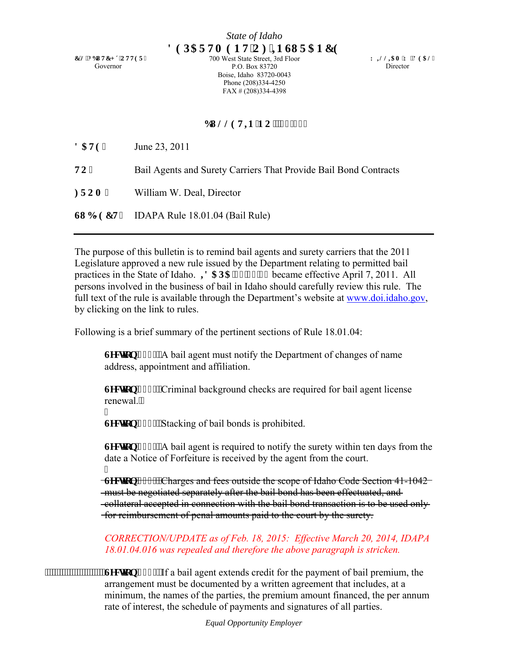**E005DWEJ &'QVVGT"** Governor

700 West State Street, 3rd Floor P.O. Box 83720 Boise, Idaho 83720-0043 Phone (208)334-4250 FAX # (208)334-4398

**Y KNNKCO 'Y OF GCN''** Director

## **DWNNGVIP 'P Q0'33/27''**

**FCVG**< June 23, 2011

**722** Bail Agents and Surety Carriers That Provide Bail Bond Contracts

**HTOO**< William W. Deal, Director

**UWDLGEV**< IDAPA Rule 18.01.04 (Bail Rule)

The purpose of this bulletin is to remind bail agents and surety carriers that the 2011 Legislature approved a new rule issued by the Department relating to permitted bail practices in the State of Idaho. *W* CRC'3: 023026 became effective April 7, 2011. All persons involved in the business of bail in Idaho should carefully review this rule. The full text of the rule is available through the Department's website at www.doi.idaho.gov, by clicking on the link to rules.

Following is a brief summary of the pertinent sections of Rule 18.01.04:

**Ugevlap'234<'A** bail agent must notify the Department of changes of name address, appointment and affiliation.

**Ugevlap'235<'Criminal background checks are required for bail agent license** renewal.

I Ugevkqp'236<'Stacking of bail bonds is prohibited.

**Leevigp**'237<'A bail agent is required to notify the surety within ten days from the date a Notice of Forfeiture is received by the agent from the court. I

**Example 1238- Charges and fees outside the scope of Idaho Code Section 41-1042** must be negotiated separately after the bail bond has been effectuated, and collateral accepted in connection with the bail bond transaction is to be used only for reimbursement of penal amounts paid to the court by the surety.

 *CORRECTION/UPDATE as of Feb. 18, 2015: Effective March 20, 2014, IDAPA 18.01.04.016 was repealed and therefore the above paragraph is stricken.*

**EXECUTE: EXECUTE: EXECUTE: 6HBTMLRD 6HBTMLRD 6HBTMLRD 6HBTMLRD 6HBTMLRD 6HBTMLRD 6HBTMLRD 6HBTMLRD 6HBTMLRD 6HBTMLRD 6HBTMLRD 6HBTMLRD 6HBTMLRD 6HBTMLRD 6HBTMLRD 6HBTMLRD 6HBTMLRD 6**  arrangement must be documented by a written agreement that includes, at a minimum, the names of the parties, the premium amount financed, the per annum rate of interest, the schedule of payments and signatures of all parties.